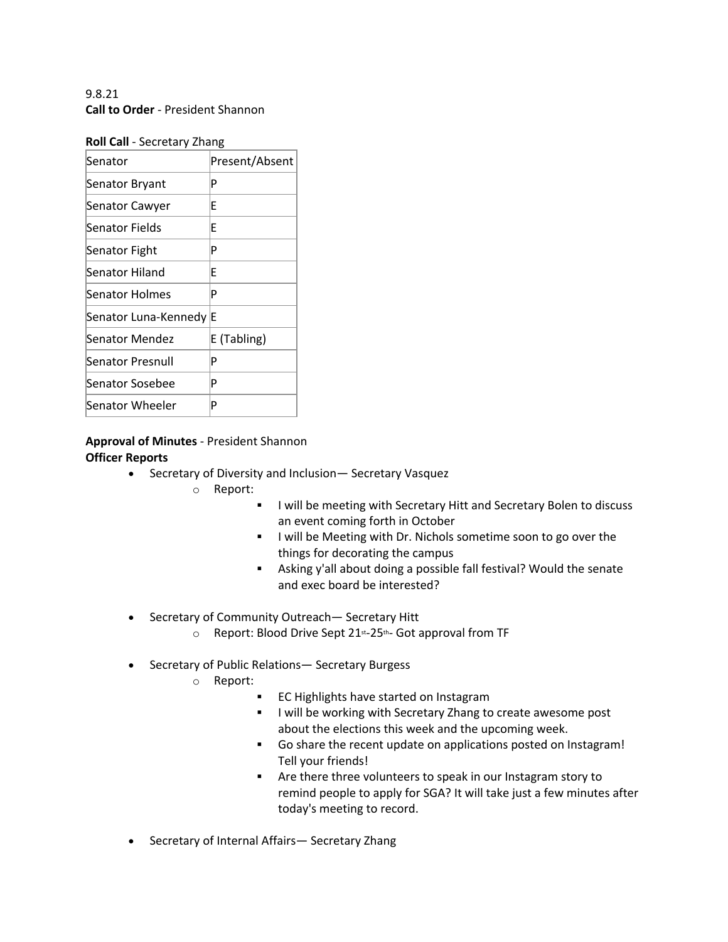9.8.21 **Call to Order** - President Shannon

| <b>NUIL CAIL</b> - JECLELALY ZHAHK |                |
|------------------------------------|----------------|
| Senator                            | Present/Absent |
| Senator Bryant                     | P              |
| Senator Cawyer                     | E              |
| Senator Fields                     | E              |
| Senator Fight                      | P              |
| Senator Hiland                     | E              |
| Senator Holmes                     | P              |
| Senator Luna-Kennedy               | ΙE             |
| <b>Senator Mendez</b>              | E (Tabling)    |
| Senator Presnull                   | P              |
| Senator Sosebee                    | P              |
| Senator Wheeler                    | P              |
|                                    |                |

# **Roll Call** - Secretary Zhang

# **Approval of Minutes** - President Shannon **Officer Reports**

- Secretary of Diversity and Inclusion— Secretary Vasquez
	- o Report:
		- **I will be meeting with Secretary Hitt and Secretary Bolen to discuss** an event coming forth in October
		- **I will be Meeting with Dr. Nichols sometime soon to go over the** things for decorating the campus
		- **EXEDENT Asking y'all about doing a possible fall festival? Would the senate** and exec board be interested?
- Secretary of Community Outreach— Secretary Hitt
	- o Report: Blood Drive Sept 21st-25th- Got approval from TF
- Secretary of Public Relations— Secretary Burgess
	- o Report:
		- **EC Highlights have started on Instagram**
		- **I will be working with Secretary Zhang to create awesome post** about the elections this week and the upcoming week.
		- § Go share the recent update on applications posted on Instagram! Tell your friends!
		- § Are there three volunteers to speak in our Instagram story to remind people to apply for SGA? It will take just a few minutes after today's meeting to record.
- Secretary of Internal Affairs— Secretary Zhang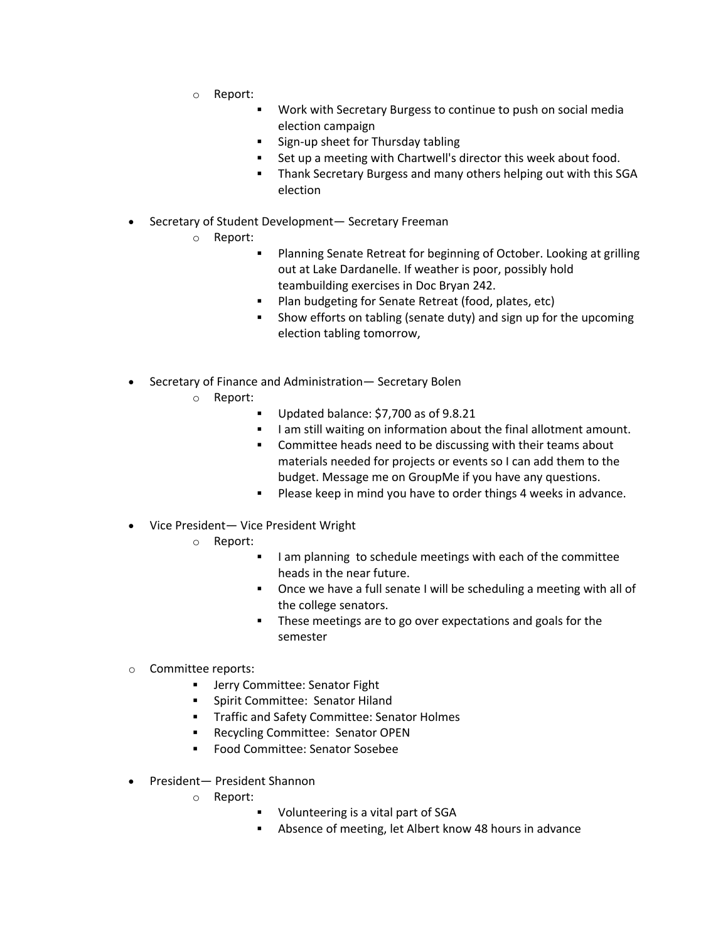- o Report:
	- § Work with Secretary Burgess to continue to push on social media election campaign
	- § Sign-up sheet for Thursday tabling
	- Set up a meeting with Chartwell's director this week about food.
	- § Thank Secretary Burgess and many others helping out with this SGA election
- Secretary of Student Development— Secretary Freeman
	- o Report:
		- § Planning Senate Retreat for beginning of October. Looking at grilling out at Lake Dardanelle. If weather is poor, possibly hold teambuilding exercises in Doc Bryan 242.
		- Plan budgeting for Senate Retreat (food, plates, etc)
		- § Show efforts on tabling (senate duty) and sign up for the upcoming election tabling tomorrow,
- Secretary of Finance and Administration— Secretary Bolen
	- o Report:
		- § Updated balance: \$7,700 as of 9.8.21
		- I am still waiting on information about the final allotment amount.
		- Committee heads need to be discussing with their teams about materials needed for projects or events so I can add them to the budget. Message me on GroupMe if you have any questions.
		- **Please keep in mind you have to order things 4 weeks in advance.**
- Vice President— Vice President Wright
	- o Report:
		- I am planning to schedule meetings with each of the committee heads in the near future.
		- § Once we have a full senate I will be scheduling a meeting with all of the college senators.
		- **•** These meetings are to go over expectations and goals for the semester
- o Committee reports:
	- Jerry Committee: Senator Fight
	- § Spirit Committee: Senator Hiland
	- § Traffic and Safety Committee: Senator Holmes
	- Recycling Committee: Senator OPEN
	- § Food Committee: Senator Sosebee
- President— President Shannon
	- o Report:
		- § Volunteering is a vital part of SGA
		- Absence of meeting, let Albert know 48 hours in advance